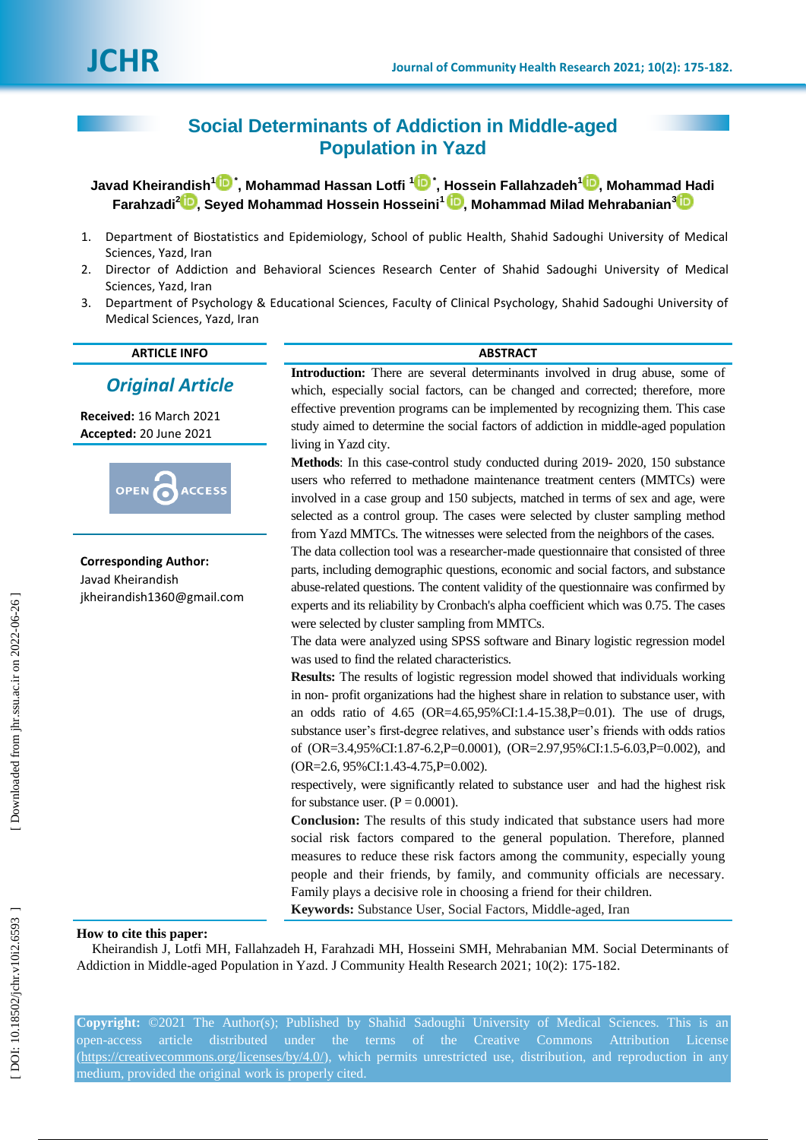# **Social Determinants of Addiction in Middle -aged Population in Yazd**

 $J$ avad Kheirandish $^1\mathbf{D}$  $^1\mathbf{D}$  $^1\mathbf{D}$  [,](https://orcid.org/0000-0001-6518-366X) Mohammad Hassan Lotfi  $^1\mathbf{D}$  , Hossein Fallahzadeh $^1\mathbf{D}$ , Mohammad Hadi **Farahzadi 2 [,](https://orcid.org/0000-0003-1905-6891) Seyed Mohammad Hossein Hosseini 1 [,](https://orcid.org/0000-0001-7523-8521) Mohammad Milad Mehrabanian [3](https://orcid.org/0000-0001-6948-7695)**

- 1. Department of Biostatistics and Epidemiology, School of public Health, Shahid Sadoughi University of Medical Sciences, Yazd, Iran
- 2. Director of Addiction and Behavioral Sciences Research Center of Shahid Sadoughi University of Medical Sciences, Yazd, Iran
- 3. Department of Psychology & Educational Sciences, Faculty of Clinical Psychology, Shahid Sadoughi University of Medical Sciences, Yazd, Iran

### **ARTICLE INFO ABSTRACT**

# *Original Article*

**Received:** 16 March 202 1 **Accepted:** 20 June 2021



**Corresponding Author:** Javad Kheirandish jkheirandish1360@gmail.com

**Introduction:** There are several determinants involved in drug abuse, some of which, especially social factors, can be changed and corrected; therefore, more effective prevention programs can be implemented by recognizing them. This case study aimed to determine the social factors of addiction in middle -aged population living in Yazd city.

Methods: In this case-control study conducted during 2019-2020, 150 substance users who referred to methadone maintenance treatment centers (MMTCs) were involved in a case group and 150 subjects, matched in terms of sex and age, were selected as a control group. The cases were selected by cluster sampling method from Yazd MMTCs. The witnesses were selected from the neighbors of the cases.

The data collection tool was a researcher -made questionnaire that consisted of three parts, including demographic questions, economic and social factors, and substance abuse -related questions. The content validity of the questionnaire was confirmed by experts and its reliability by Cronbach's alpha coefficient which was 0.75. The cases were selected by cluster sampling from MMTCs .

The data were analyzed using SPSS software and Binary logistic regression model was used to find the related characteristics.

**Results:** The results of logistic regression model showed that individuals working in non - profit organizations had the highest share in relation to substance user, with an odds ratio of 4.65 (OR=4.65,95%CI:1.4 -15.38,P=0.01). The use of drugs, substance user's first -degree relatives, and substance user's friends with odds ratios of (OR=3.4,95%CI:1.87 -6.2,P=0.0001), (OR=2.97,95%CI:1.5 -6.03,P=0.002), and (OR=2.6, 95%CI:1.43 -4.75,P=0.002).

respectively, were significantly related to substance user and had the highest risk for substance user.  $(P = 0.0001)$ .

**Conclusion:** The results of this study indicated that substance users had more social risk factors compared to the general population. Therefore, planned measures to reduce these risk factors among the community, especially young people and their friends, by family, and community officials are necessary. Family plays a decisive role in choosing a friend for their children.

**Keywords:** Substance User, Social Factors, Middle -aged, Iran

# **How to cite this paper:**

Kheirandish J, Lotfi MH, Fallahzadeh H, Farahzadi MH, Hosseini SMH, Mehrabanian MM. Social Determinants of Addiction in Middle-aged Population in Yazd. J Community Health Research 2021; 10(2): 175-182.

**Copyright:** ©2021 The Author(s); Published by Shahid Sadoughi University of Medical Sciences. This is an open (https://creativecommons.org/licenses/by/4.0/), which permits unrestricted use, distribution, and reproduction in any medium, provided the original work is properly cited.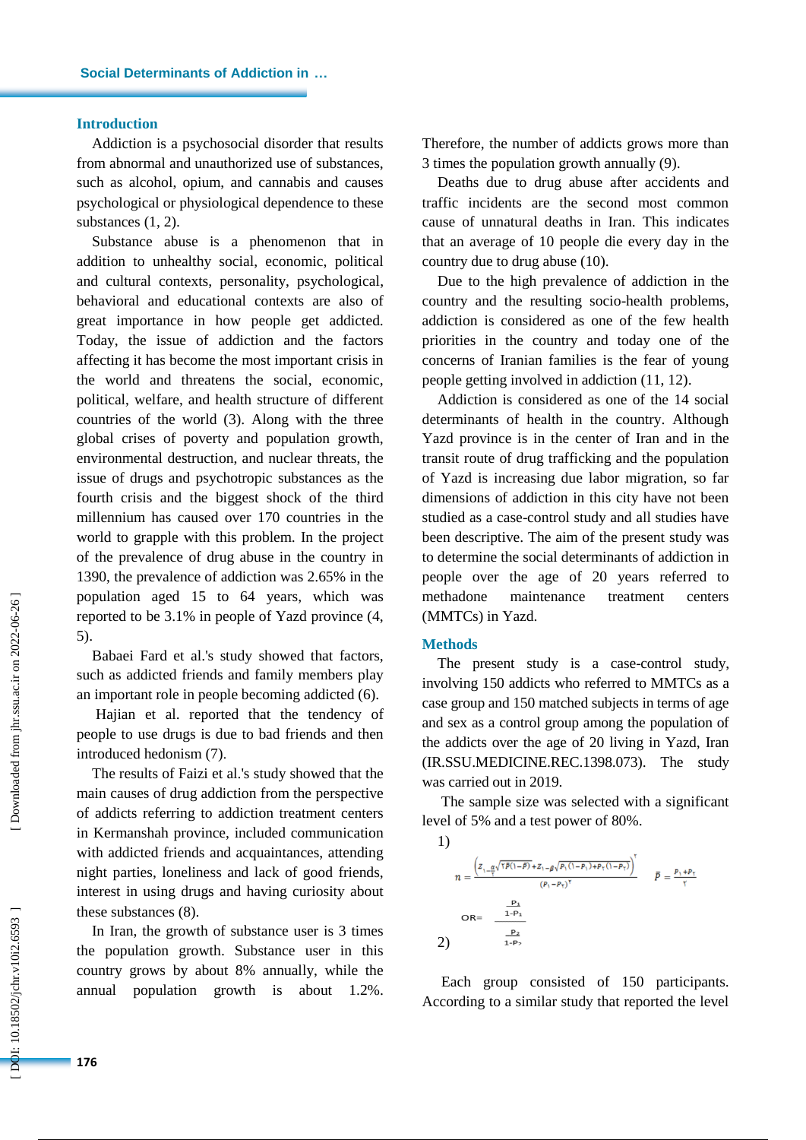# **Introduction**

Addiction is a psychosocial disorder that results from abnormal and unauthorized use of substances, such as alcohol, opium, and cannabis and causes psychological or physiological dependence to these substances (1, 2).

Substance abuse is a phenomenon that in addition to unhealthy social, economic, political and cultural contexts, personality, psychological, behavioral and educational contexts are also of great importance in how people get addicted. Today, the issue of addiction and the factors affecting it has become the most important crisis in the world and threatens the social, economic, political, welfare, and health structure of different countries of the world (3). Along with the three global crises of poverty and population growth, environmental destruction, and nuclear threats, the issue of drugs and psychotropic substances as the fourth crisis and the biggest shock of the third millennium has caused over 170 countries in the world to grapple with this problem. In the project of the prevalence of drug abuse in the country in 1390, the prevalence of addiction was 2.65% in the population aged 15 to 64 years, which was reported to be 3.1% in people of Yazd province (4, 5).

Babaei Fard et al.'s study showed that factors, such as addicted friends and family members play an important role in people becoming addicted (6).

Hajian et al. reported that the tendency of people to use drugs is due to bad friends and then introduced hedonism (7) .

The results of Faizi et al.'s study showed that the main causes of drug addiction from the perspective of addicts referring to addiction treatment centers in Kermanshah province, included communication with addicted friends and acquaintances, attending night parties, loneliness and lack of good friends, interest in using drugs and having curiosity about these substances (8).

In Iran, the growth of substance user is 3 times the population growth. Substance user in this country grows by about 8% annually, while the annual population growth is about 1.2%. Therefore, the number of addicts grows more than 3 times the population growth annually (9).

Deaths due to drug abuse after accidents and traffic incidents are the second most common cause of unnatural deaths in Iran. This indicates that an average of 10 people die every day in the country due to drug abuse (10).

Due to the high prevalence of addiction in the country and the resulting socio -health problems, addiction is considered as one of the few health priorities in the country and today one of the concerns of Iranian families is the fear of young people getting involved in addiction (11, 12).

Addiction is considered as one of the 14 social determinants of health in the country. Although Yazd province is in the center of Iran and in the transit route of drug trafficking and the population of Yazd is increasing due labor migration, so far dimensions of addiction in this city have not been studied as a case -control study and all studies have been descriptive. The aim of the present study was to determine the social determinants of addiction in people over the age of 20 years referred to methadone maintenance treatment centers (MMTCs) in Yazd.

#### **Method s**

The present study is a case -control study, involving 150 addicts who referred to MMTCs as a case group and 150 matched subjects in terms of age and sex as a control group among the population of the addicts over the age of 20 living in Yazd, Iran (IR.SSU.MEDICINE.REC.1398.073). The study was carried out in 2019.

The sample size was selected with a significant level of 5% and a test power of 80%.

1)  
\n
$$
n = \frac{\left(z_{1-\frac{\alpha}{\tau}}\sqrt{\tau P(1-\beta)} + z_{1-\beta}\sqrt{P_1(1-P_1) + P_1(1-P_1)}\right)^{\tau}}{(P_1 - P_1)^{\tau}}
$$
\n
$$
P = \frac{P_1 + P_2}{\tau}
$$
\n
$$
OR = \frac{\frac{P_1}{1-P_2}}{\frac{P_2}{1-P_2}}
$$
\n2)

Each group consisted of 150 participants. According to a similar study that reported the level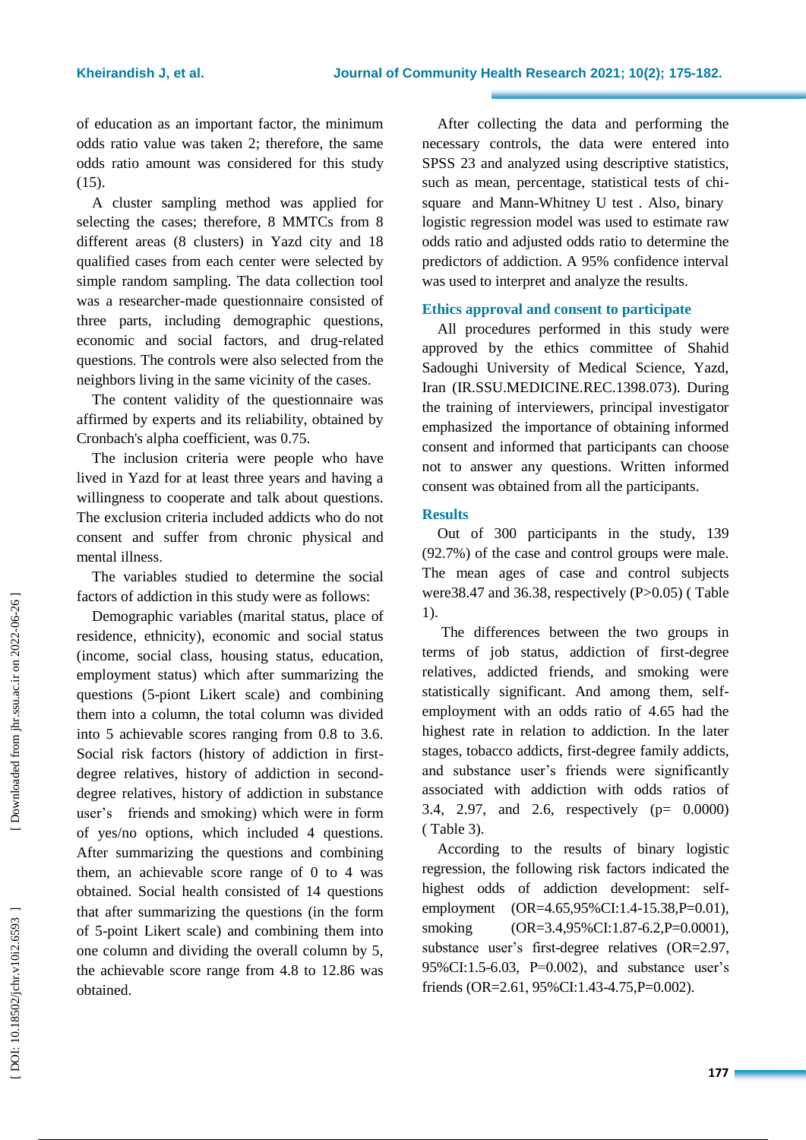of education as an important factor, the minimum odds ratio value was taken 2; therefore, the same odds ratio amount was considered for this study (15).

A cluster sampling method was applied for selecting the cases; therefore, 8 MMTCs from 8 different areas (8 clusters) in Yazd city and 18 qualified cases from each center were selected by simple random sampling. The data collection tool was a researcher -made questionnaire consisted of three parts, including demographic questions, economic and social factors, and drug-related questions . The controls were also selected from the neighbors living in the same vicinity of the cases.

The content validity of the questionnaire was affirmed by experts and its reliability, obtained by Cronbach's alpha coefficient, was 0.75.

The inclusion criteria were people who have lived in Yazd for at least three years and having a willingness to cooperate and talk about questions. The exclusion criteria included addicts who do not consent and suffer from chronic physical and mental illness.

The variables studied to determine the social factors of addiction in this study were as follows:

Demographic variables (marital status, place of residence, ethnicity), economic and social status (income, social class, housing status, education, employment status) which after summarizing the questions (5 -piont Likert scale) and combining them into a column, the total column was divided into 5 achievable scores ranging from 0.8 to 3.6. Social risk factors (history of addiction in first degree relatives, history of addiction in second degree relatives, history of addiction in substance user's friends and smoking) which were in form of yes/no options, which included 4 questions. After summarizing the questions and combining them, an achievable score range of 0 to 4 was obtained. Social health consisted of 14 questions that after summarizing the questions (in the form of 5 -point Likert scale) and combining them into one column and dividing the overall column by 5, the achievable score range from 4.8 to 12.86 was obtained.

After collecting the data and performing the necessary controls, the data were entered into SPSS 23 and analyzed using descriptive statistics, such as mean, percentage, statistical tests of chi square and Mann -Whitney U test . Also, binary logistic regression model was used to estimate raw odds ratio and adjusted odds ratio to determine the predictors of addiction. A 95% confidence interval was used to interpret and analyze the results.

# **Ethics approval and consent to participate**

All procedures performed in this study were approved by the ethics committee of Shahid Sadoughi University of Medical Science, Yazd, Iran (IR.SSU.MEDICINE.REC.1398.073). During the training of interviewers, principal investigator emphasized the importance of obtaining informed consent and informed that participants can choose not to answer any questions. Written informed consent was obtained from all the participants.

# **Results**

Out of 300 participants in the study, 139 (92.7%) of the case and control groups were male. The mean ages of case and control subjects were38.47 and 36.38, respectively (P>0.05) (Table 1).

The differences between the two groups in terms of job status, addiction of first -degree relatives, addicted friends, and smoking were statistically significant. And among them, sel femployment with an odds ratio of 4.65 had the highest rate in relation to addiction. In the later stages, tobacco addicts, first -degree family addicts, and substance user's friends were significantly associated with addiction with odds ratios of 3.4, 2.97, and 2.6, respectively (p= 0.0000) ( Table 3).

According to the results of binary logistic regression, the following risk factors indicated the highest odds of addiction development: selfemployment (OR=4.65,95%CI:1.4-15.38,P=0.01), smoking (OR=3.4,95%CI:1.87-6.2,P=0.0001), substance user's first -degree relatives (OR=2.97, 95%CI:1.5 -6.03, P=0.002), and substance user's friends (OR=2.61, 95%CI:1.43-4.75, P=0.002).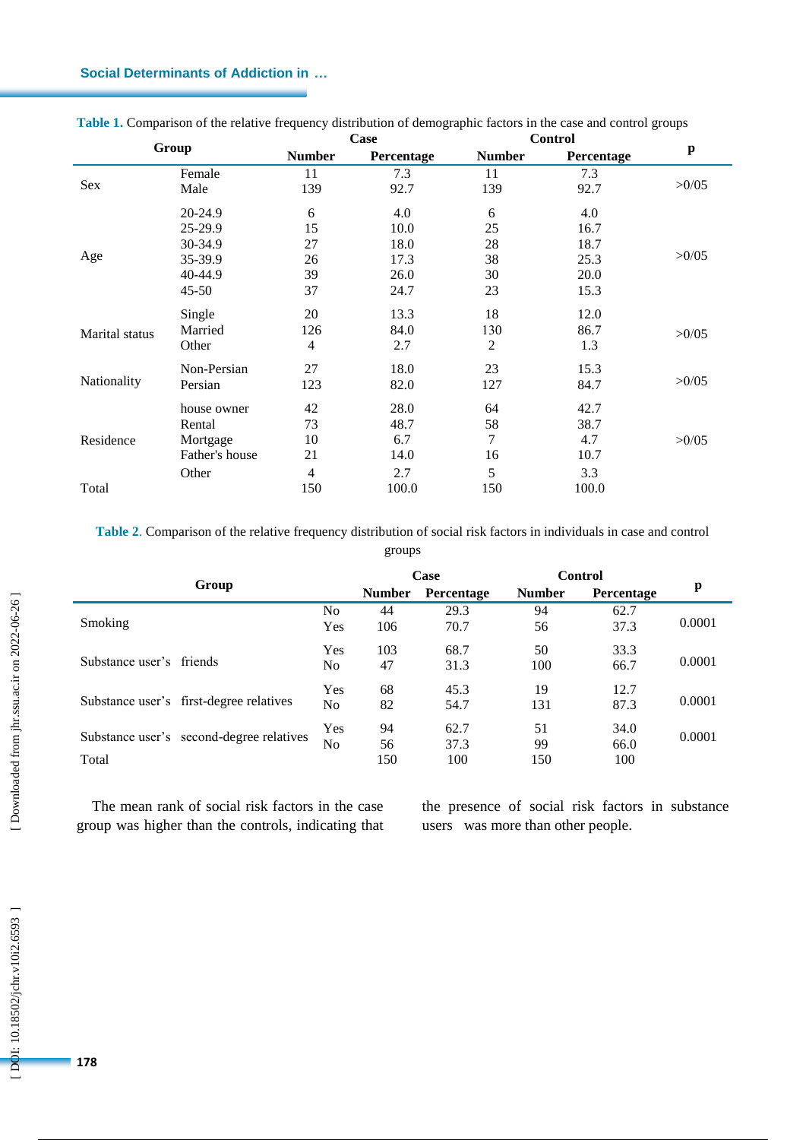# **Social Determinants of Addiction in …**

| Group          |                | Case          |            | <b>Control</b> |            |       |  |
|----------------|----------------|---------------|------------|----------------|------------|-------|--|
|                |                | <b>Number</b> | Percentage | <b>Number</b>  | Percentage | p     |  |
|                | Female         | 11            | 7.3        | 11             | 7.3        |       |  |
| Sex            | Male           | 139           | 92.7       | 139            | 92.7       | >0/05 |  |
|                | 20-24.9        | 6             | 4.0        | 6              | 4.0        |       |  |
|                | 25-29.9        | 15            | 10.0       | 25             | 16.7       |       |  |
|                | 30-34.9        | 27            | 18.0       | 28             | 18.7       |       |  |
| Age            | 35-39.9        | 26            | 17.3       | 38             | 25.3       | >0/05 |  |
|                | 40-44.9        | 39            | 26.0       | 30             | 20.0       |       |  |
|                | $45 - 50$      | 37            | 24.7       | 23             | 15.3       |       |  |
|                | Single         | 20            | 13.3       | 18             | 12.0       |       |  |
| Marital status | Married        | 126           | 84.0       | 130            | 86.7       | >0/05 |  |
|                | Other          | 4             | 2.7        | 2              | 1.3        |       |  |
|                | Non-Persian    | 27            | 18.0       | 23             | 15.3       |       |  |
| Nationality    | Persian        | 123           | 82.0       | 127            | 84.7       | >0/05 |  |
| Residence      | house owner    | 42            | 28.0       | 64             | 42.7       |       |  |
|                | Rental         | 73            | 48.7       | 58             | 38.7       |       |  |
|                | Mortgage       | 10            | 6.7        | 7              | 4.7        | >0/05 |  |
|                | Father's house | 21            | 14.0       | 16             | 10.7       |       |  |
|                | Other          | 4             | 2.7        | 5              | 3.3        |       |  |
| Total          |                | 150           | 100.0      | 150            | 100.0      |       |  |

**Table 1 .** Comparison of the relative frequency distribution of demographic factors in the case and control groups

**Table 2** . Comparison of the relative frequency distribution of social risk factors in individuals in case and control groups

| Group                                    |            | Case          |            | Control       |            |        |
|------------------------------------------|------------|---------------|------------|---------------|------------|--------|
|                                          |            | <b>Number</b> | Percentage | <b>Number</b> | Percentage | p      |
|                                          | No         | 44            | 29.3       | 94            | 62.7       |        |
| <b>Smoking</b>                           | Yes        | 106           | 70.7       | 56            | 37.3       | 0.0001 |
|                                          | Yes        | 103           | 68.7       | 50            | 33.3       |        |
| Substance user's friends                 | No         | 47            | 31.3       | 100           | 66.7       | 0.0001 |
|                                          | Yes        | 68            | 45.3       | 19            | 12.7       |        |
| Substance user's first-degree relatives  | No.        | 82            | 54.7       | 131           | 87.3       | 0.0001 |
|                                          | <b>Yes</b> | 94            | 62.7       | 51            | 34.0       | 0.0001 |
| Substance user's second-degree relatives | No.        | 56            | 37.3       | 99            | 66.0       |        |
| Total                                    |            | 150           | 100        | 150           | 100        |        |

The mean rank of social risk factors in the case group was higher than the controls, indicating that the presence of social risk factors in substance users was more than other people.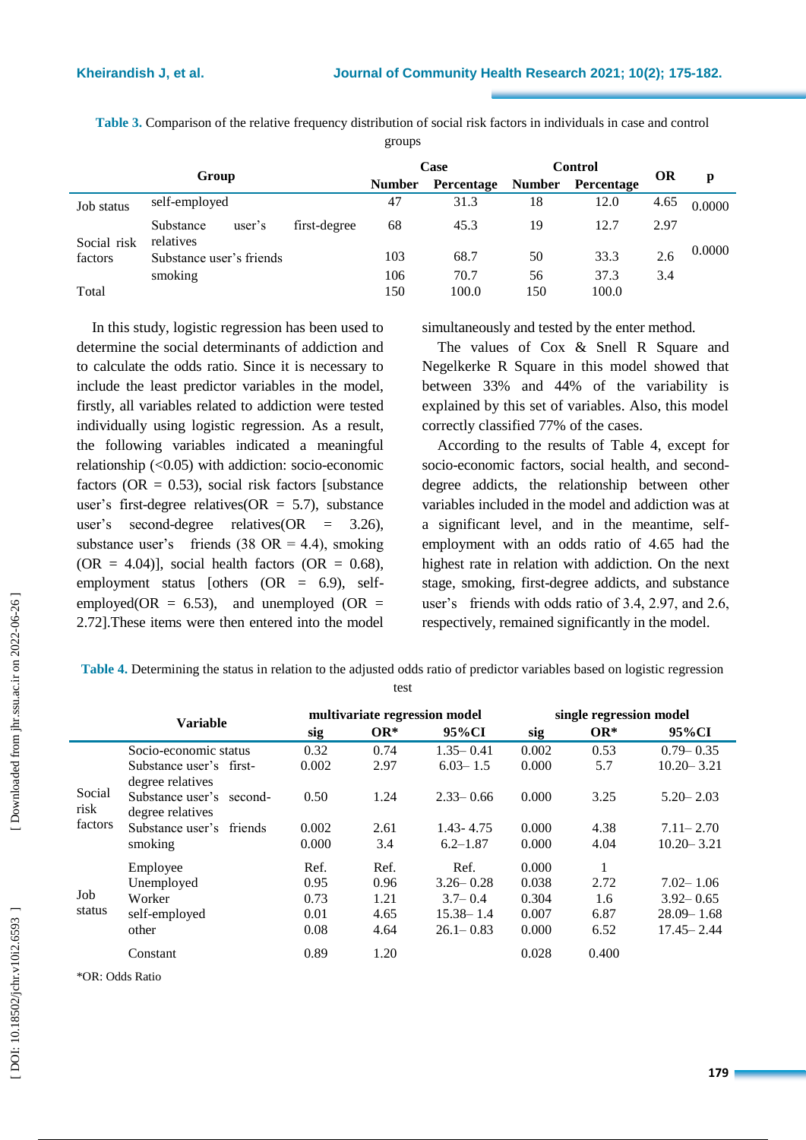**Table 3 .** Comparison of the relative frequency distribution of social risk factors in individuals in case and control groups

| Group       |                                  | Case          |            | <b>Control</b> |            | <b>OR</b> |      |        |
|-------------|----------------------------------|---------------|------------|----------------|------------|-----------|------|--------|
|             |                                  | <b>Number</b> | Percentage | <b>Number</b>  | Percentage |           | р    |        |
| Job status  | self-employed                    |               | 47         | 31.3           | 18         | 12.0      | 4.65 | 0.0000 |
| Social risk | Substance<br>user's<br>relatives | first-degree  | 68         | 45.3           | 19         | 12.7      | 2.97 |        |
| factors     | Substance user's friends         |               | 103        | 68.7           | 50         | 33.3      | 2.6  | 0.0000 |
|             | smoking                          |               | 106        | 70.7           | 56         | 37.3      | 3.4  |        |
| Total       |                                  |               | 150        | 100.0          | 150        | 100.0     |      |        |

In this study, logistic regression has been used to determine the social determinants of addiction and to calculate the odds ratio. Since it is necessary to include the least predictor variables in the model, firstly, all variables related to addiction were tested individually using logistic regression. As a result, the following variables indicated a meaningful relationship (<0.05) with addiction: socio -economic factors ( $OR = 0.53$ ), social risk factors [substance user's first-degree relatives  $(OR = 5.7)$ , substance user's second -degree relatives(OR = 3.26), substance user's friends  $(38 \text{ OR } = 4.4)$ , smoking  $(OR = 4.04)$ ], social health factors  $(OR = 0.68)$ , employment status [others (OR = 6.9), selfemployed( $OR = 6.53$ ), and unemployed ( $OR =$ 2.72].These items were then entered into the model

simultaneously and tested by the enter method.

The values of Cox & Snell R Square and Negelkerke R Square in this model showed that between 33% and 44% of the variability is explained by this set of variables. Also, this model correctly classified 77% of the cases.

According to the results of Table 4, except for socio-economic factors, social health, and seconddegree addicts, the relationship between other variables included in the model and addiction was at a significant level, and in the meantime, selfemployment with an odds ratio of 4.65 had the highest rate in relation with addiction. On the next stage, smoking, first -degree addicts, and substance user's friends with odds ratio of 3.4, 2.97, and 2.6, respectively, remained significantly in the model.

**Table 4 .** Determining the status in relation to the adjusted odds ratio of predictor variables based on logistic regression

test

|                           | <b>Variable</b>                              | multivariate regression model |        |               | single regression model |        |                |  |
|---------------------------|----------------------------------------------|-------------------------------|--------|---------------|-------------------------|--------|----------------|--|
|                           |                                              | sig                           | $OR^*$ | 95%CI         | sig                     | $OR^*$ | 95%CI          |  |
|                           | Socio-economic status                        | 0.32                          | 0.74   | $1.35 - 0.41$ | 0.002                   | 0.53   | $0.79 - 0.35$  |  |
| Social<br>risk<br>factors | Substance user's first-<br>degree relatives  | 0.002                         | 2.97   | $6.03 - 1.5$  | 0.000                   | 5.7    | $10.20 - 3.21$ |  |
|                           | Substance user's second-<br>degree relatives | 0.50                          | 1.24   | $2.33 - 0.66$ | 0.000                   | 3.25   | $5.20 - 2.03$  |  |
|                           | Substance user's friends                     | 0.002                         | 2.61   | $1.43 - 4.75$ | 0.000                   | 4.38   | $7.11 - 2.70$  |  |
|                           | smoking                                      | 0.000                         | 3.4    | $6.2 - 1.87$  | 0.000                   | 4.04   | $10.20 - 3.21$ |  |
|                           | Employee                                     | Ref.                          | Ref.   | Ref.          | 0.000                   |        |                |  |
| Job<br>status             | Unemployed                                   | 0.95                          | 0.96   | $3.26 - 0.28$ | 0.038                   | 2.72   | $7.02 - 1.06$  |  |
|                           | Worker                                       | 0.73                          | 1.21   | $3.7 - 0.4$   | 0.304                   | 1.6    | $3.92 - 0.65$  |  |
|                           | self-employed                                | 0.01                          | 4.65   | $15.38 - 1.4$ | 0.007                   | 6.87   | $28.09 - 1.68$ |  |
|                           | other                                        | 0.08                          | 4.64   | $26.1 - 0.83$ | 0.000                   | 6.52   | $17.45 - 2.44$ |  |
|                           | Constant                                     | 0.89                          | 1.20   |               | 0.028                   | 0.400  |                |  |

\*OR: Odds Ratio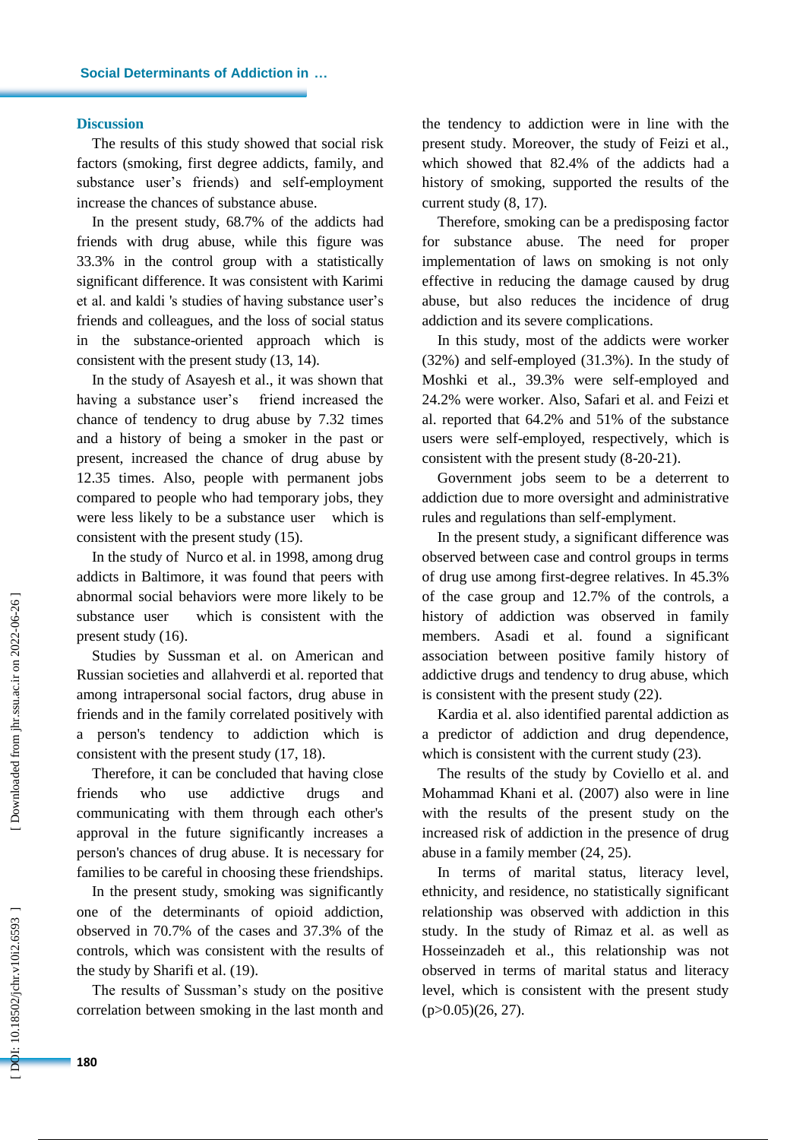## **Discussion**

The results of this study showed that social risk factors (smoking, first degree addicts, family, and substance user's friends) and self-employment increase the chances of substance abuse.

In the present study, 68.7% of the addicts had friends with drug abuse, while this figure was 33.3% in the control group with a statistically significant difference. It was consistent with Karimi et al. and kaldi 's studies of having substance user's friends and colleagues, and the loss of social status in the substance -oriented approach which is consistent with the present study (13, 14).

In the study of Asayesh et al., it was shown that having a substance user's friend increased the chance of tendency to drug abuse by 7.32 times and a history of being a smoker in the past or present, increased the chance of drug abuse by 12.35 times. Also, people with permanent jobs compared to people who had temporary jobs, they were less likely to be a substance user which is consistent with the present study (15).

In the study of Nurco et al. in 1998, among drug addicts in Baltimore, it was found that peers with abnormal social behaviors were more likely to be substance user which is consistent with the present study (16).

Studies by Sussman et al. on American and Russian societies and allahverdi et al. reported that among intrapersonal social factors, drug abuse in friends and in the family correlated positively with a person's tendency to addiction which is consistent with the present study (17, 18).

Therefore, it can be concluded that having close friends who use addictive drugs and communicating with them through each other's approval in the future significantly increases a person's chances of drug abuse. It is necessary for families to be careful in choosing these friendships.

In the present study, smoking was significantly one of the determinants of opioid addiction, observed in 70.7% of the cases and 37.3% of the controls, which was consistent with the results of the study by Sharifi et al. (19).

The results of Sussman's study on the positive correlation between smoking in the last month and the tendency to addiction were in line with the present study. Moreover, the study of Feizi et al., which showed that 82.4% of the addicts had a history of smoking, supported the results of the current study (8, 17).

Therefore, smoking can be a predisposing factor for substance abuse. The need for proper implementation of laws on smoking is not only effective in reducing the damage caused by drug abuse, but also reduces the incidence of drug addiction and its severe complications.

In this study, most of the addicts were worker (32%) and self-employed (31.3%). In the study of Moshki et al., 39.3% were self -employed and 24.2% were worker. Also, Safari et al. and Feizi et al. reported that 64.2% and 51% of the substance users were self-employed, respectively, which is consistent with the present study (8 -20 -21).

Government jobs seem to be a deterrent to addiction due to more oversight and administrative rules and regulations than self -emplyment.

In the present study, a significant difference was observed between case and control groups in terms of drug use among first -degree relatives. In 45.3% of the case group and 12.7% of the controls, a history of addiction was observed in family members. Asadi et al. found a significant association between positive family history of addictive drugs and tendency to drug abuse, which is consistent with the present study (22).

Kardia et al. also identified parental addiction as a predictor of addiction and drug dependence, which is consistent with the current study  $(23)$ .

The results of the study by Coviello et al. and Mohammad Khani et al. (2007) also were in line with the results of the present study on the increased risk of addiction in the presence of drug abuse in a family member (24, 25).

In terms of marital status, literacy level, ethnicity, and residence, no statistically significant relationship was observed with addiction in this study. In the study of Rimaz et al. as well as Hosseinzadeh et al., this relationship was not observed in terms of marital status and literacy level, which is consistent with the present study  $(p>0.05)(26, 27)$ .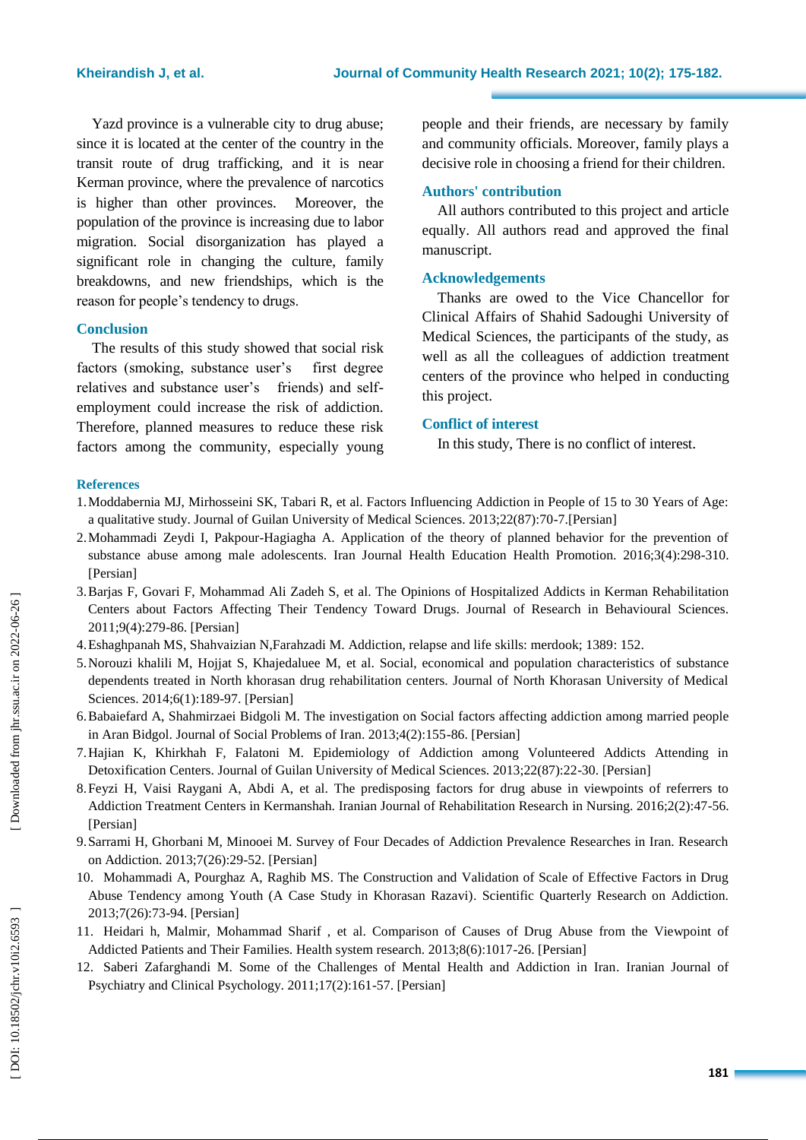Yazd province is a vulnerable city to drug abuse; since it is located at the center of the country in the transit route of drug trafficking, and it is near Kerman province, where the prevalence of narcotics is higher than other provinces. Moreover, the population of the province is increasing due to labor migration. Social disorganization has played a significant role in changing the culture, family breakdowns, and new friendships, which is the reason for people's tendency to drugs .

# **Conclusion**

The results of this study showed that social risk factors (smoking, substance user's first degree relatives and substance user's friends) and selfemployment could increase the risk of addiction. Therefore, planned measures to reduce these risk factors among the community, especially young people and their friends, are necessary by family and community officials. Moreover, family plays a decisive role in choosing a friend for their children.

# **Authors' contribution**

All authors contributed to this project and article equally. All authors read and approved the final manuscript.

## **Acknowledgements**

Thanks are owed to the Vice Chancellor for Clinical Affairs of Shahid Sadoughi University of Medical Sciences, the participants of the study, as well as all the colleagues of addiction treatment centers of the province who helped in conducting this project.

# **Conflict of interest**

In this study, There is no conflict of interest .

#### **References**

- 1.Moddabernia MJ, Mirhosseini SK, Tabari R, et al. Factors Influencing Addiction in People of 15 to 30 Years of Age: a qualitative study . Journal of Guilan University of Medical Sciences. 2013;22(87):70 -7.[Persian]
- 2.Mohammadi Zeydi I, Pakpour -Hagiagha A. Application of the theory of planned behavior for the prevention of substance abuse among male adolescents. Iran Journal Health Educatio n Health Promotion. 2016;3(4):298 -310. [Persian]
- 3.Barjas F, Govari F, Mohammad Ali Zadeh S, et al. The Opinions of Hospitalized Addicts in Kerman Rehabilitation Centers about Factors Affecting Their Tendency Toward Drugs. Journal of Research in Behavioural Sciences. 2011;9(4):279 -86. [Persian]
- 4. Eshaghpanah MS, Shahvaizian N,Farahzadi M. Addiction, relapse and life skills: merdook; 1389: 152.
- 5.Norouzi khalili M, Hojjat S, Khajedaluee M, et al. Social, economical and population characteristics of substance dependents treated in North khorasan drug rehabilitation centers. Journal of North Khorasan University of Medical Sciences. 2014;6(1):189 -97. [Persian]
- 6.Babaiefard A, Shahmirzaei Bidgoli M. The investigation on Social factors affecting addiction among married people in Aran Bidgol. Journal of Social Problems of Iran. 2013;4(2):155 -86. [Persian]
- 7.Hajian K, Khirkhah F, Falatoni M. Epidemiology of Addiction among Volunteered Addicts Attending in Detoxification Centers. Journal of Guilan University of Medical Sciences. 2013;22(87):22 -30. [Persian]
- 8.Feyzi H, Vaisi Raygani A, Abdi A, et al. The predisposing factors for drug abuse in viewpoints of referrers to Addiction Treatment Centers in Kermanshah. Iranian Journal of Rehabilitation Research in Nursing. 2016;2(2):47 -56. [Persian]
- 9.Sarrami H, Ghorbani M, Minooei M. Survey of Four Decades of Addiction Prevalence Researches in Iran. Research on Addiction. 2013;7(26):29 -52. [Persian]
- 10. Mohammadi A, Pourghaz A, Raghib MS. The Construction and Validation of Scale of Effective Factors in Drug Abuse Tendency among Youth (A Case Study in Khorasan Razavi) . Scientific Quarterly Research on Addiction. 2013;7(26):73 -94. [Persian]
- 11. Heidari h, Malmir, Mohammad Sharif , et al. Comparison of Causes of Drug Abuse from the Viewpoint of Addicted Patients and Their Families. Health system research. 2013;8(6):1017 -26. [Persian]
- 12. Saberi Zafarghandi M. Some of the Challenges of Mental Health and Addiction in Iran. Iranian Journal of Psychiatry and Clinical Psychology. 2011;17(2):161 -57. [Persian]